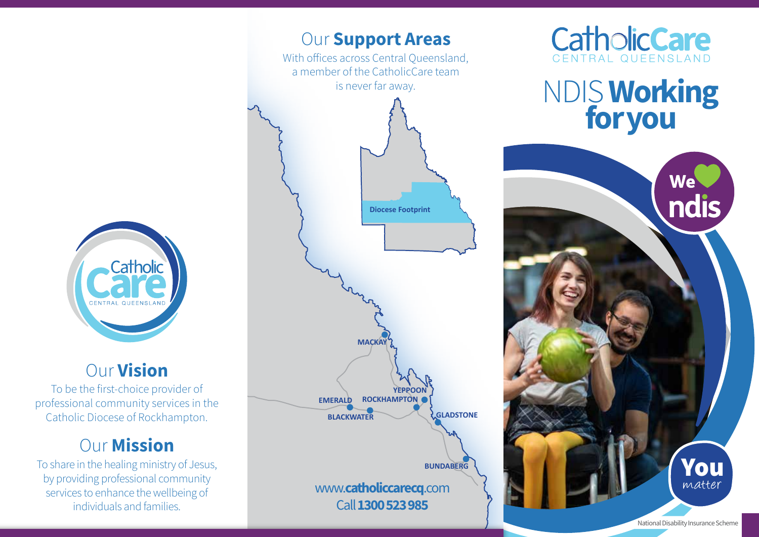

## Our Vision

To be the first-choice provider of professional community services in the Catholic Diocese of Rockhampton.

# **Our Mission**

To share in the healing ministry of Jesus, by providing professional community services to enhance the wellbeing of individuals and families.





NDIS Working **for you**